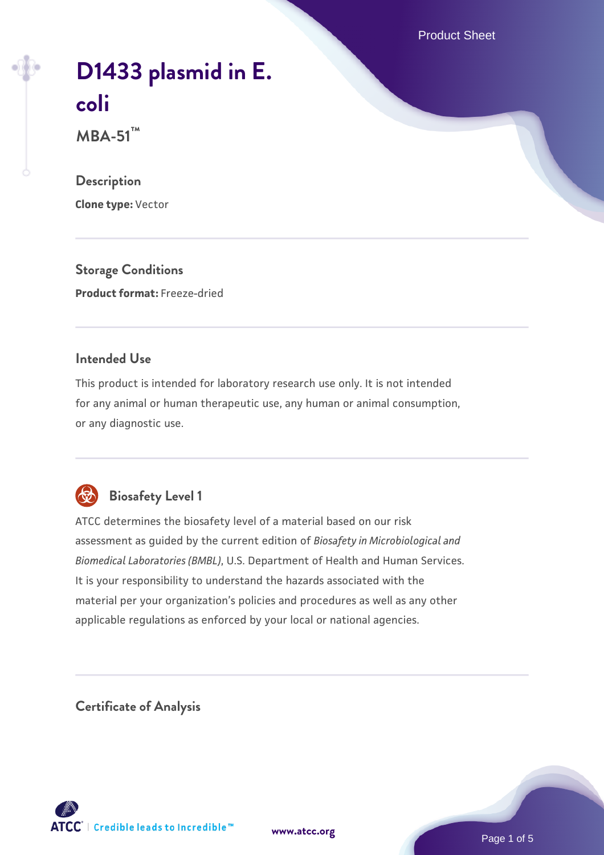Product Sheet

# **[D1433 plasmid in E.](https://www.atcc.org/products/mba-51) [coli](https://www.atcc.org/products/mba-51)**

**MBA-51™**

#### **Description**

**Clone type:** Vector

**Storage Conditions Product format:** Freeze-dried

#### **Intended Use**

This product is intended for laboratory research use only. It is not intended for any animal or human therapeutic use, any human or animal consumption, or any diagnostic use.



## **Biosafety Level 1**

ATCC determines the biosafety level of a material based on our risk assessment as guided by the current edition of *Biosafety in Microbiological and Biomedical Laboratories (BMBL)*, U.S. Department of Health and Human Services. It is your responsibility to understand the hazards associated with the material per your organization's policies and procedures as well as any other applicable regulations as enforced by your local or national agencies.

#### **Certificate of Analysis**

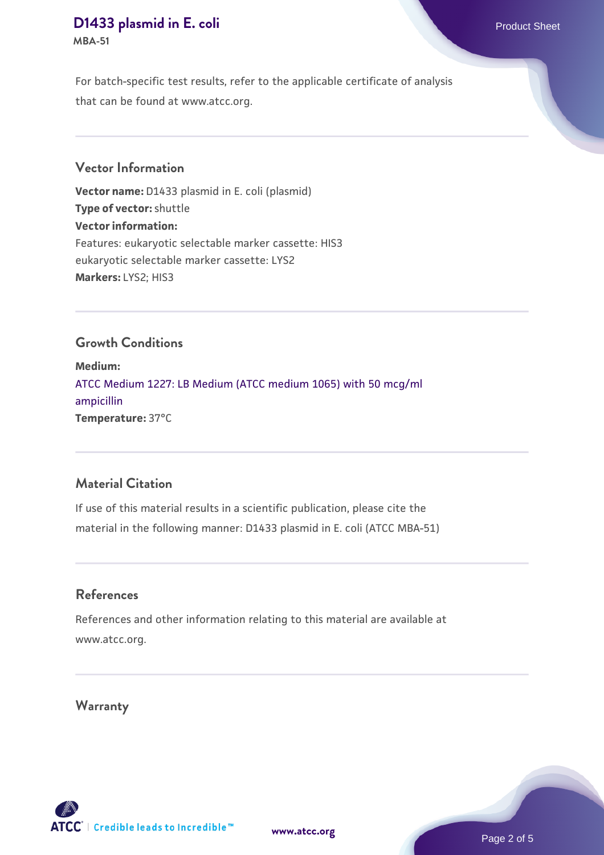## **[D1433 plasmid in E. coli](https://www.atcc.org/products/mba-51) Product Sheet**

**MBA-51**

For batch-specific test results, refer to the applicable certificate of analysis that can be found at www.atcc.org.

#### **Vector Information**

**Vector name:** D1433 plasmid in E. coli (plasmid) **Type of vector:** shuttle **Vector information:** Features: eukaryotic selectable marker cassette: HIS3 eukaryotic selectable marker cassette: LYS2 **Markers:** LYS2; HIS3

#### **Growth Conditions**

**Medium:**  [ATCC Medium 1227: LB Medium \(ATCC medium 1065\) with 50 mcg/ml](https://www.atcc.org/-/media/product-assets/documents/microbial-media-formulations/1/2/2/7/atcc-medium-1227.pdf?rev=581c98603b3e4b29a6d62ee0ba9ca578) [ampicillin](https://www.atcc.org/-/media/product-assets/documents/microbial-media-formulations/1/2/2/7/atcc-medium-1227.pdf?rev=581c98603b3e4b29a6d62ee0ba9ca578) **Temperature:** 37°C

#### **Material Citation**

If use of this material results in a scientific publication, please cite the material in the following manner: D1433 plasmid in E. coli (ATCC MBA-51)

#### **References**

References and other information relating to this material are available at www.atcc.org.

**Warranty**

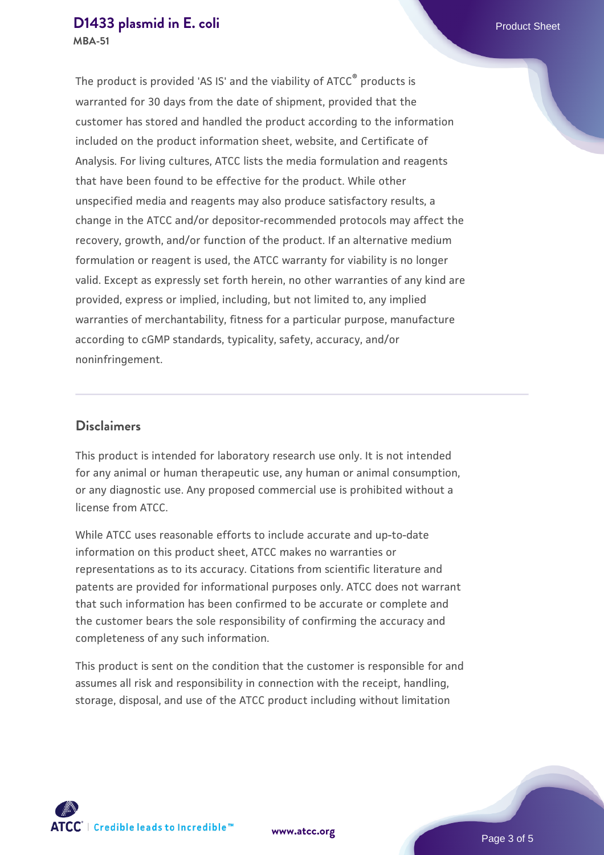# **[D1433 plasmid in E. coli](https://www.atcc.org/products/mba-51) D1433 plasmid in E. coli**

**MBA-51**

The product is provided 'AS IS' and the viability of ATCC® products is warranted for 30 days from the date of shipment, provided that the customer has stored and handled the product according to the information included on the product information sheet, website, and Certificate of Analysis. For living cultures, ATCC lists the media formulation and reagents that have been found to be effective for the product. While other unspecified media and reagents may also produce satisfactory results, a change in the ATCC and/or depositor-recommended protocols may affect the recovery, growth, and/or function of the product. If an alternative medium formulation or reagent is used, the ATCC warranty for viability is no longer valid. Except as expressly set forth herein, no other warranties of any kind are provided, express or implied, including, but not limited to, any implied warranties of merchantability, fitness for a particular purpose, manufacture according to cGMP standards, typicality, safety, accuracy, and/or noninfringement.

#### **Disclaimers**

This product is intended for laboratory research use only. It is not intended for any animal or human therapeutic use, any human or animal consumption, or any diagnostic use. Any proposed commercial use is prohibited without a license from ATCC.

While ATCC uses reasonable efforts to include accurate and up-to-date information on this product sheet, ATCC makes no warranties or representations as to its accuracy. Citations from scientific literature and patents are provided for informational purposes only. ATCC does not warrant that such information has been confirmed to be accurate or complete and the customer bears the sole responsibility of confirming the accuracy and completeness of any such information.

This product is sent on the condition that the customer is responsible for and assumes all risk and responsibility in connection with the receipt, handling, storage, disposal, and use of the ATCC product including without limitation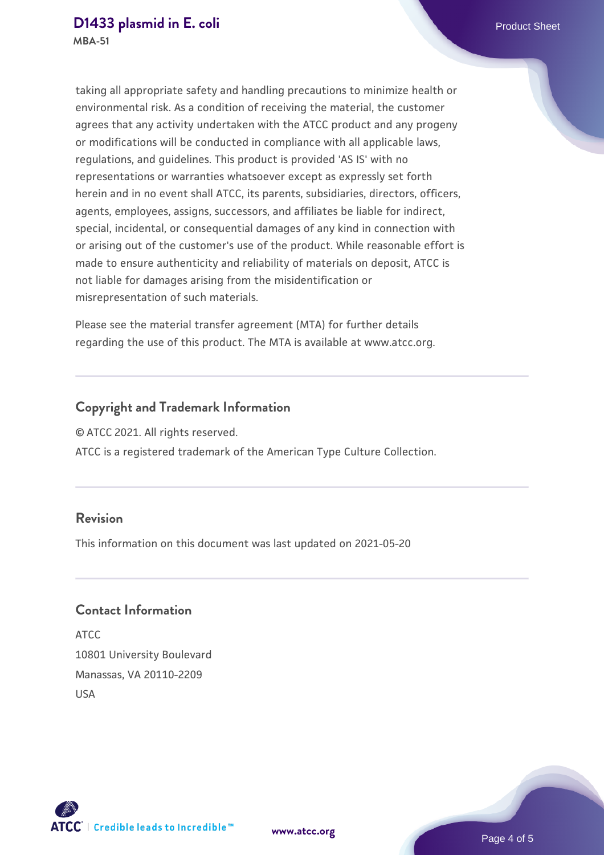taking all appropriate safety and handling precautions to minimize health or environmental risk. As a condition of receiving the material, the customer agrees that any activity undertaken with the ATCC product and any progeny or modifications will be conducted in compliance with all applicable laws, regulations, and guidelines. This product is provided 'AS IS' with no representations or warranties whatsoever except as expressly set forth herein and in no event shall ATCC, its parents, subsidiaries, directors, officers, agents, employees, assigns, successors, and affiliates be liable for indirect, special, incidental, or consequential damages of any kind in connection with or arising out of the customer's use of the product. While reasonable effort is made to ensure authenticity and reliability of materials on deposit, ATCC is not liable for damages arising from the misidentification or misrepresentation of such materials.

Please see the material transfer agreement (MTA) for further details regarding the use of this product. The MTA is available at www.atcc.org.

#### **Copyright and Trademark Information**

© ATCC 2021. All rights reserved.

ATCC is a registered trademark of the American Type Culture Collection.

#### **Revision**

This information on this document was last updated on 2021-05-20

#### **Contact Information**

ATCC 10801 University Boulevard Manassas, VA 20110-2209 USA